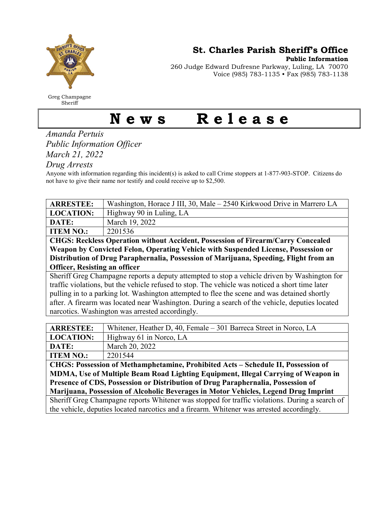

Greg Champagne Sheriff

St. Charles Parish Sheriff's Office

Public Information

260 Judge Edward Dufresne Parkway, Luling, LA 70070 Voice (985) 783-1135 • Fax (985) 783-1138

## News Release

Amanda Pertuis Public Information Officer March 21, 2022

Drug Arrests

Anyone with information regarding this incident(s) is asked to call Crime stoppers at 1-877-903-STOP. Citizens do not have to give their name nor testify and could receive up to \$2,500.

| <b>ARRESTEE:</b>                                                                                | Washington, Horace J III, 30, Male – 2540 Kirkwood Drive in Marrero LA |  |
|-------------------------------------------------------------------------------------------------|------------------------------------------------------------------------|--|
| <b>LOCATION:</b>                                                                                | Highway 90 in Luling, LA                                               |  |
| DATE:                                                                                           | March 19, 2022                                                         |  |
| <b>ITEM NO.:</b>                                                                                | 2201536                                                                |  |
| <b>CHGS: Reckless Operation without Accident, Possession of Firearm/Carry Concealed</b>         |                                                                        |  |
| Weapon by Convicted Felon, Operating Vehicle with Suspended License, Possession or              |                                                                        |  |
| Distribution of Drug Paraphernalia, Possession of Marijuana, Speeding, Flight from an           |                                                                        |  |
| <b>Officer, Resisting an officer</b>                                                            |                                                                        |  |
| Sheriff Greg Champagne reports a deputy attempted to stop a vehicle driven by Washington for    |                                                                        |  |
| traffic violations, but the vehicle refused to stop. The vehicle was noticed a short time later |                                                                        |  |
| pulling in to a parking lot. Washington attempted to flee the scene and was detained shortly    |                                                                        |  |
| after. A firearm was located near Washington. During a search of the vehicle, deputies located  |                                                                        |  |
| narcotics. Washington was arrested accordingly.                                                 |                                                                        |  |

| <b>ARRESTEE:</b>                                                                               | Whitener, Heather D, 40, Female – 301 Barreca Street in Norco, LA |  |
|------------------------------------------------------------------------------------------------|-------------------------------------------------------------------|--|
| <b>LOCATION:</b>                                                                               | Highway 61 in Norco, LA                                           |  |
| DATE:                                                                                          | March 20, 2022                                                    |  |
| <b>ITEM NO.:</b>                                                                               | 2201544                                                           |  |
| CHGS: Possession of Methamphetamine, Prohibited Acts – Schedule II, Possession of              |                                                                   |  |
| MDMA, Use of Multiple Beam Road Lighting Equipment, Illegal Carrying of Weapon in              |                                                                   |  |
| Presence of CDS, Possession or Distribution of Drug Paraphernalia, Possession of               |                                                                   |  |
| Marijuana, Possession of Alcoholic Beverages in Motor Vehicles, Legend Drug Imprint            |                                                                   |  |
| Sheriff Greg Champagne reports Whitener was stopped for traffic violations. During a search of |                                                                   |  |
| the vehicle, deputies located narcotics and a firearm. Whitener was arrested accordingly.      |                                                                   |  |